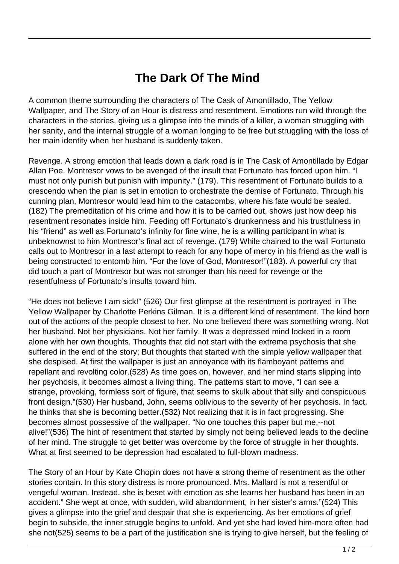## **The Dark Of The Mind**

A common theme surrounding the characters of The Cask of Amontillado, The Yellow Wallpaper, and The Story of an Hour is distress and resentment. Emotions run wild through the characters in the stories, giving us a glimpse into the minds of a killer, a woman struggling with her sanity, and the internal struggle of a woman longing to be free but struggling with the loss of her main identity when her husband is suddenly taken.

Revenge. A strong emotion that leads down a dark road is in The Cask of Amontillado by Edgar Allan Poe. Montresor vows to be avenged of the insult that Fortunato has forced upon him. "I must not only punish but punish with impunity." (179). This resentment of Fortunato builds to a crescendo when the plan is set in emotion to orchestrate the demise of Fortunato. Through his cunning plan, Montresor would lead him to the catacombs, where his fate would be sealed. (182) The premeditation of his crime and how it is to be carried out, shows just how deep his resentment resonates inside him. Feeding off Fortunato's drunkenness and his trustfulness in his "friend" as well as Fortunato's infinity for fine wine, he is a willing participant in what is unbeknownst to him Montresor's final act of revenge. (179) While chained to the wall Fortunato calls out to Montresor in a last attempt to reach for any hope of mercy in his friend as the wall is being constructed to entomb him. "For the love of God, Montresor!"(183). A powerful cry that did touch a part of Montresor but was not stronger than his need for revenge or the resentfulness of Fortunato's insults toward him.

"He does not believe I am sick!" (526) Our first glimpse at the resentment is portrayed in The Yellow Wallpaper by Charlotte Perkins Gilman. It is a different kind of resentment. The kind born out of the actions of the people closest to her. No one believed there was something wrong. Not her husband. Not her physicians. Not her family. It was a depressed mind locked in a room alone with her own thoughts. Thoughts that did not start with the extreme psychosis that she suffered in the end of the story; But thoughts that started with the simple yellow wallpaper that she despised. At first the wallpaper is just an annoyance with its flamboyant patterns and repellant and revolting color.(528) As time goes on, however, and her mind starts slipping into her psychosis, it becomes almost a living thing. The patterns start to move, "I can see a strange, provoking, formless sort of figure, that seems to skulk about that silly and conspicuous front design."(530) Her husband, John, seems oblivious to the severity of her psychosis. In fact, he thinks that she is becoming better.(532) Not realizing that it is in fact progressing. She becomes almost possessive of the wallpaper. "No one touches this paper but me,--not alive!"(536) The hint of resentment that started by simply not being believed leads to the decline of her mind. The struggle to get better was overcome by the force of struggle in her thoughts. What at first seemed to be depression had escalated to full-blown madness.

The Story of an Hour by Kate Chopin does not have a strong theme of resentment as the other stories contain. In this story distress is more pronounced. Mrs. Mallard is not a resentful or vengeful woman. Instead, she is beset with emotion as she learns her husband has been in an accident." She wept at once, with sudden, wild abandonment, in her sister's arms."(524) This gives a glimpse into the grief and despair that she is experiencing. As her emotions of grief begin to subside, the inner struggle begins to unfold. And yet she had loved him-more often had she not(525) seems to be a part of the justification she is trying to give herself, but the feeling of